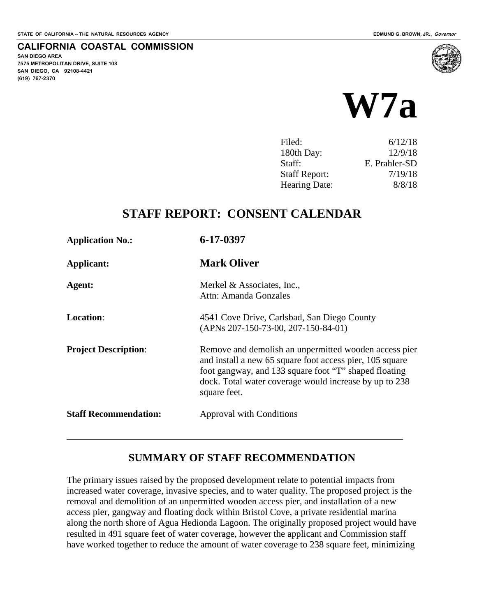**SAN DIEGO AREA**

**(619) 767-2370**

**7575 METROPOLITAN DRIVE, SUITE 103 SAN DIEGO, CA 92108-4421**

**CALIFORNIA COASTAL COMMISSION**



| Filed:               | 6/12/18       |
|----------------------|---------------|
| 180th Day:           | 12/9/18       |
| Staff:               | E. Prahler-SD |
| <b>Staff Report:</b> | 7/19/18       |
| <b>Hearing Date:</b> | 8/8/18        |

### **STAFF REPORT: CONSENT CALENDAR**

| <b>Application No.:</b>      | 6-17-0397                                                                                                                                                                                                                                            |
|------------------------------|------------------------------------------------------------------------------------------------------------------------------------------------------------------------------------------------------------------------------------------------------|
| <b>Applicant:</b>            | <b>Mark Oliver</b>                                                                                                                                                                                                                                   |
| Agent:                       | Merkel & Associates, Inc.,<br>Attn: Amanda Gonzales                                                                                                                                                                                                  |
| <b>Location:</b>             | 4541 Cove Drive, Carlsbad, San Diego County<br>(APNs 207-150-73-00, 207-150-84-01)                                                                                                                                                                   |
| <b>Project Description:</b>  | Remove and demolish an unpermitted wooden access pier<br>and install a new 65 square foot access pier, 105 square<br>foot gangway, and 133 square foot "T" shaped floating<br>dock. Total water coverage would increase by up to 238<br>square feet. |
| <b>Staff Recommendation:</b> | <b>Approval with Conditions</b>                                                                                                                                                                                                                      |
|                              |                                                                                                                                                                                                                                                      |

### **SUMMARY OF STAFF RECOMMENDATION**

The primary issues raised by the proposed development relate to potential impacts from increased water coverage, invasive species, and to water quality. The proposed project is the removal and demolition of an unpermitted wooden access pier, and installation of a new access pier, gangway and floating dock within Bristol Cove, a private residential marina along the north shore of Agua Hedionda Lagoon. The originally proposed project would have resulted in 491 square feet of water coverage, however the applicant and Commission staff have worked together to reduce the amount of water coverage to 238 square feet, minimizing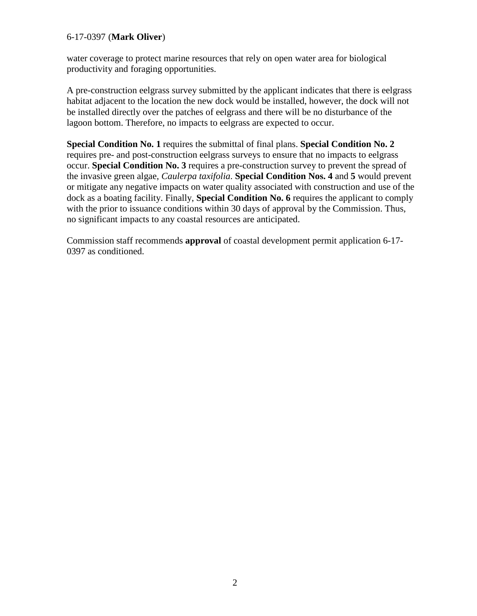water coverage to protect marine resources that rely on open water area for biological productivity and foraging opportunities.

A pre-construction eelgrass survey submitted by the applicant indicates that there is eelgrass habitat adjacent to the location the new dock would be installed, however, the dock will not be installed directly over the patches of eelgrass and there will be no disturbance of the lagoon bottom. Therefore, no impacts to eelgrass are expected to occur.

**Special Condition No. 1** requires the submittal of final plans. **Special Condition No. 2** requires pre- and post-construction eelgrass surveys to ensure that no impacts to eelgrass occur. **Special Condition No. 3** requires a pre-construction survey to prevent the spread of the invasive green algae, *Caulerpa taxifolia*. **Special Condition Nos. 4** and **5** would prevent or mitigate any negative impacts on water quality associated with construction and use of the dock as a boating facility. Finally, **Special Condition No. 6** requires the applicant to comply with the prior to issuance conditions within 30 days of approval by the Commission. Thus, no significant impacts to any coastal resources are anticipated.

Commission staff recommends **approval** of coastal development permit application 6-17- 0397 as conditioned.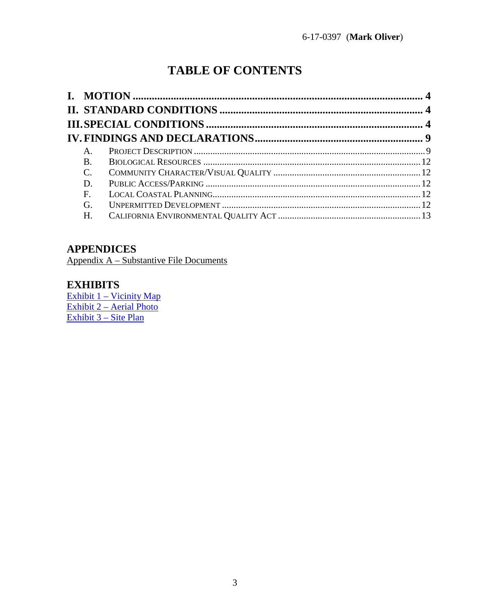# **TABLE OF CONTENTS**

| $A_{\cdot}$     |  |
|-----------------|--|
| <b>B.</b>       |  |
| $\mathcal{C}$ . |  |
| D.              |  |
| F.              |  |
| G.              |  |
| Н.              |  |
|                 |  |

### **APPENDICES**

Appendix A - Substantive File Documents

### **EXHIBITS**

<u>Exhibit 1 – Vicinity Map<br>Exhibit 2 – Aerial Photo</u> Exhibit 3 – Site Plan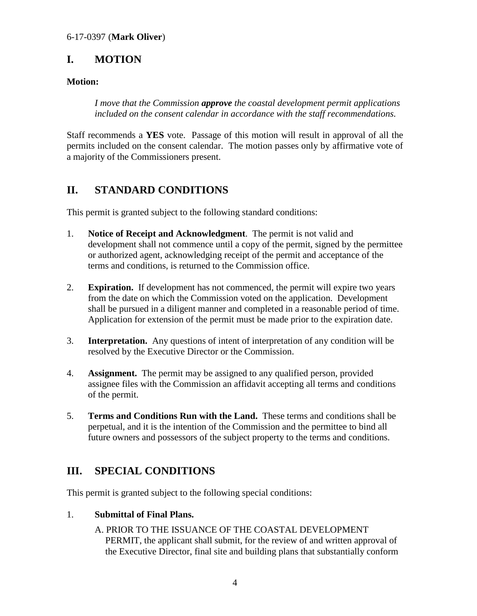### <span id="page-3-0"></span>**I. MOTION**

#### **Motion:**

*I move that the Commission approve the coastal development permit applications included on the consent calendar in accordance with the staff recommendations.* 

Staff recommends a **YES** vote. Passage of this motion will result in approval of all the permits included on the consent calendar. The motion passes only by affirmative vote of a majority of the Commissioners present.

### <span id="page-3-1"></span>**II. STANDARD CONDITIONS**

This permit is granted subject to the following standard conditions:

- 1. **Notice of Receipt and Acknowledgment**. The permit is not valid and development shall not commence until a copy of the permit, signed by the permittee or authorized agent, acknowledging receipt of the permit and acceptance of the terms and conditions, is returned to the Commission office.
- 2. **Expiration.** If development has not commenced, the permit will expire two years from the date on which the Commission voted on the application. Development shall be pursued in a diligent manner and completed in a reasonable period of time. Application for extension of the permit must be made prior to the expiration date.
- 3. **Interpretation.** Any questions of intent of interpretation of any condition will be resolved by the Executive Director or the Commission.
- 4. **Assignment.** The permit may be assigned to any qualified person, provided assignee files with the Commission an affidavit accepting all terms and conditions of the permit.
- 5. **Terms and Conditions Run with the Land.** These terms and conditions shall be perpetual, and it is the intention of the Commission and the permittee to bind all future owners and possessors of the subject property to the terms and conditions.

### <span id="page-3-2"></span>**III. SPECIAL CONDITIONS**

This permit is granted subject to the following special conditions:

#### 1. **Submittal of Final Plans.**

A. PRIOR TO THE ISSUANCE OF THE COASTAL DEVELOPMENT PERMIT, the applicant shall submit, for the review of and written approval of the Executive Director, final site and building plans that substantially conform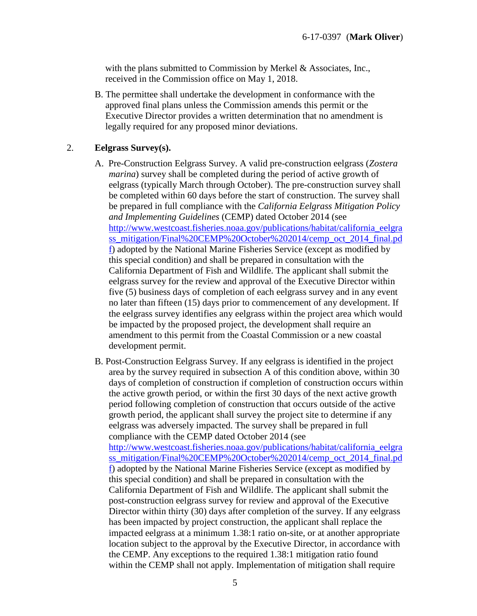with the plans submitted to Commission by Merkel & Associates, Inc., received in the Commission office on May 1, 2018.

B. The permittee shall undertake the development in conformance with the approved final plans unless the Commission amends this permit or the Executive Director provides a written determination that no amendment is legally required for any proposed minor deviations.

#### 2. **Eelgrass Survey(s).**

- A. Pre-Construction Eelgrass Survey. A valid pre-construction eelgrass (*Zostera marina*) survey shall be completed during the period of active growth of eelgrass (typically March through October). The pre-construction survey shall be completed within 60 days before the start of construction. The survey shall be prepared in full compliance with the *California Eelgrass Mitigation Policy and Implementing Guidelines* (CEMP) dated October 2014 (see [http://www.westcoast.fisheries.noaa.gov/publications/habitat/california\\_eelgra](http://www.westcoast.fisheries.noaa.gov/publications/habitat/california_eelgrass_mitigation/Final%20CEMP%20October%202014/cemp_oct_2014_final.pdf) [ss\\_mitigation/Final%20CEMP%20October%202014/cemp\\_oct\\_2014\\_final.pd](http://www.westcoast.fisheries.noaa.gov/publications/habitat/california_eelgrass_mitigation/Final%20CEMP%20October%202014/cemp_oct_2014_final.pdf) [f\)](http://www.westcoast.fisheries.noaa.gov/publications/habitat/california_eelgrass_mitigation/Final%20CEMP%20October%202014/cemp_oct_2014_final.pdf) adopted by the National Marine Fisheries Service (except as modified by this special condition) and shall be prepared in consultation with the California Department of Fish and Wildlife. The applicant shall submit the eelgrass survey for the review and approval of the Executive Director within five (5) business days of completion of each eelgrass survey and in any event no later than fifteen (15) days prior to commencement of any development. If the eelgrass survey identifies any eelgrass within the project area which would be impacted by the proposed project, the development shall require an amendment to this permit from the Coastal Commission or a new coastal development permit.
- B. Post-Construction Eelgrass Survey. If any eelgrass is identified in the project area by the survey required in subsection A of this condition above, within 30 days of completion of construction if completion of construction occurs within the active growth period, or within the first 30 days of the next active growth period following completion of construction that occurs outside of the active growth period, the applicant shall survey the project site to determine if any eelgrass was adversely impacted. The survey shall be prepared in full compliance with the CEMP dated October 2014 (see [http://www.westcoast.fisheries.noaa.gov/publications/habitat/california\\_eelgra](http://www.westcoast.fisheries.noaa.gov/publications/habitat/california_eelgrass_mitigation/Final%20CEMP%20October%202014/cemp_oct_2014_final.pdf) [ss\\_mitigation/Final%20CEMP%20October%202014/cemp\\_oct\\_2014\\_final.pd](http://www.westcoast.fisheries.noaa.gov/publications/habitat/california_eelgrass_mitigation/Final%20CEMP%20October%202014/cemp_oct_2014_final.pdf) [f\)](http://www.westcoast.fisheries.noaa.gov/publications/habitat/california_eelgrass_mitigation/Final%20CEMP%20October%202014/cemp_oct_2014_final.pdf) adopted by the National Marine Fisheries Service (except as modified by this special condition) and shall be prepared in consultation with the California Department of Fish and Wildlife. The applicant shall submit the post-construction eelgrass survey for review and approval of the Executive Director within thirty (30) days after completion of the survey. If any eelgrass has been impacted by project construction, the applicant shall replace the impacted eelgrass at a minimum 1.38:1 ratio on-site, or at another appropriate location subject to the approval by the Executive Director, in accordance with the CEMP. Any exceptions to the required 1.38:1 mitigation ratio found within the CEMP shall not apply. Implementation of mitigation shall require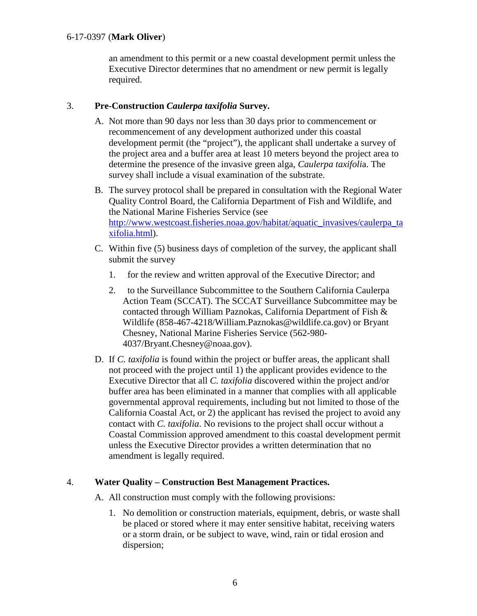an amendment to this permit or a new coastal development permit unless the Executive Director determines that no amendment or new permit is legally required.

#### 3. **Pre-Construction** *Caulerpa taxifolia* **Survey.**

- A. Not more than 90 days nor less than 30 days prior to commencement or recommencement of any development authorized under this coastal development permit (the "project"), the applicant shall undertake a survey of the project area and a buffer area at least 10 meters beyond the project area to determine the presence of the invasive green alga, *Caulerpa taxifoli*a. The survey shall include a visual examination of the substrate.
- B. The survey protocol shall be prepared in consultation with the Regional Water Quality Control Board, the California Department of Fish and Wildlife, and the National Marine Fisheries Service (see [http://www.westcoast.fisheries.noaa.gov/habitat/aquatic\\_invasives/caulerpa\\_ta](http://www.westcoast.fisheries.noaa.gov/habitat/aquatic_invasives/caulerpa_taxifolia.html) [xifolia.html\)](http://www.westcoast.fisheries.noaa.gov/habitat/aquatic_invasives/caulerpa_taxifolia.html).
- C. Within five (5) business days of completion of the survey, the applicant shall submit the survey
	- 1. for the review and written approval of the Executive Director; and
	- 2. to the Surveillance Subcommittee to the Southern California Caulerpa Action Team (SCCAT). The SCCAT Surveillance Subcommittee may be contacted through William Paznokas, California Department of Fish & Wildlife (858-467-4218/William.Paznokas@wildlife.ca.gov) or Bryant Chesney, National Marine Fisheries Service (562-980- 4037/Bryant.Chesney@noaa.gov).
- D. If *C. taxifolia* is found within the project or buffer areas, the applicant shall not proceed with the project until 1) the applicant provides evidence to the Executive Director that all *C. taxifolia* discovered within the project and/or buffer area has been eliminated in a manner that complies with all applicable governmental approval requirements, including but not limited to those of the California Coastal Act, or 2) the applicant has revised the project to avoid any contact with *C. taxifolia*. No revisions to the project shall occur without a Coastal Commission approved amendment to this coastal development permit unless the Executive Director provides a written determination that no amendment is legally required.

#### 4. **Water Quality – Construction Best Management Practices.**

A. All construction must comply with the following provisions:

1. No demolition or construction materials, equipment, debris, or waste shall be placed or stored where it may enter sensitive habitat, receiving waters or a storm drain, or be subject to wave, wind, rain or tidal erosion and dispersion;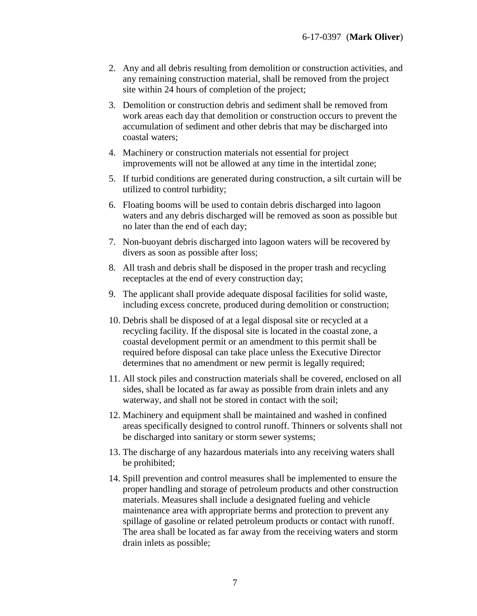- 2. Any and all debris resulting from demolition or construction activities, and any remaining construction material, shall be removed from the project site within 24 hours of completion of the project;
- 3. Demolition or construction debris and sediment shall be removed from work areas each day that demolition or construction occurs to prevent the accumulation of sediment and other debris that may be discharged into coastal waters;
- 4. Machinery or construction materials not essential for project improvements will not be allowed at any time in the intertidal zone;
- 5. If turbid conditions are generated during construction, a silt curtain will be utilized to control turbidity;
- 6. Floating booms will be used to contain debris discharged into lagoon waters and any debris discharged will be removed as soon as possible but no later than the end of each day;
- 7. Non-buoyant debris discharged into lagoon waters will be recovered by divers as soon as possible after loss;
- 8. All trash and debris shall be disposed in the proper trash and recycling receptacles at the end of every construction day;
- 9. The applicant shall provide adequate disposal facilities for solid waste, including excess concrete, produced during demolition or construction;
- 10. Debris shall be disposed of at a legal disposal site or recycled at a recycling facility. If the disposal site is located in the coastal zone, a coastal development permit or an amendment to this permit shall be required before disposal can take place unless the Executive Director determines that no amendment or new permit is legally required;
- 11. All stock piles and construction materials shall be covered, enclosed on all sides, shall be located as far away as possible from drain inlets and any waterway, and shall not be stored in contact with the soil;
- 12. Machinery and equipment shall be maintained and washed in confined areas specifically designed to control runoff. Thinners or solvents shall not be discharged into sanitary or storm sewer systems;
- 13. The discharge of any hazardous materials into any receiving waters shall be prohibited;
- 14. Spill prevention and control measures shall be implemented to ensure the proper handling and storage of petroleum products and other construction materials. Measures shall include a designated fueling and vehicle maintenance area with appropriate berms and protection to prevent any spillage of gasoline or related petroleum products or contact with runoff. The area shall be located as far away from the receiving waters and storm drain inlets as possible;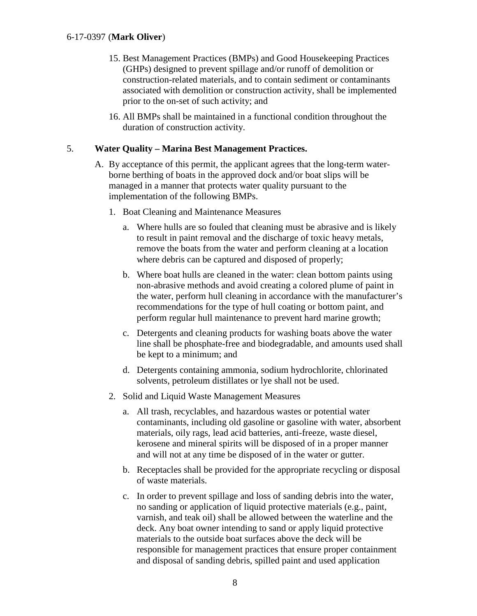- 15. Best Management Practices (BMPs) and Good Housekeeping Practices (GHPs) designed to prevent spillage and/or runoff of demolition or construction-related materials, and to contain sediment or contaminants associated with demolition or construction activity, shall be implemented prior to the on-set of such activity; and
- 16. All BMPs shall be maintained in a functional condition throughout the duration of construction activity.

#### 5. **Water Quality – Marina Best Management Practices.**

- A. By acceptance of this permit, the applicant agrees that the long-term waterborne berthing of boats in the approved dock and/or boat slips will be managed in a manner that protects water quality pursuant to the implementation of the following BMPs.
	- 1. Boat Cleaning and Maintenance Measures
		- a. Where hulls are so fouled that cleaning must be abrasive and is likely to result in paint removal and the discharge of toxic heavy metals, remove the boats from the water and perform cleaning at a location where debris can be captured and disposed of properly;
		- b. Where boat hulls are cleaned in the water: clean bottom paints using non-abrasive methods and avoid creating a colored plume of paint in the water, perform hull cleaning in accordance with the manufacturer's recommendations for the type of hull coating or bottom paint, and perform regular hull maintenance to prevent hard marine growth;
		- c. Detergents and cleaning products for washing boats above the water line shall be phosphate-free and biodegradable, and amounts used shall be kept to a minimum; and
		- d. Detergents containing ammonia, sodium hydrochlorite, chlorinated solvents, petroleum distillates or lye shall not be used.
	- 2. Solid and Liquid Waste Management Measures
		- a. All trash, recyclables, and hazardous wastes or potential water contaminants, including old gasoline or gasoline with water, absorbent materials, oily rags, lead acid batteries, anti-freeze, waste diesel, kerosene and mineral spirits will be disposed of in a proper manner and will not at any time be disposed of in the water or gutter.
		- b. Receptacles shall be provided for the appropriate recycling or disposal of waste materials.
		- c. In order to prevent spillage and loss of sanding debris into the water, no sanding or application of liquid protective materials (e.g., paint, varnish, and teak oil) shall be allowed between the waterline and the deck. Any boat owner intending to sand or apply liquid protective materials to the outside boat surfaces above the deck will be responsible for management practices that ensure proper containment and disposal of sanding debris, spilled paint and used application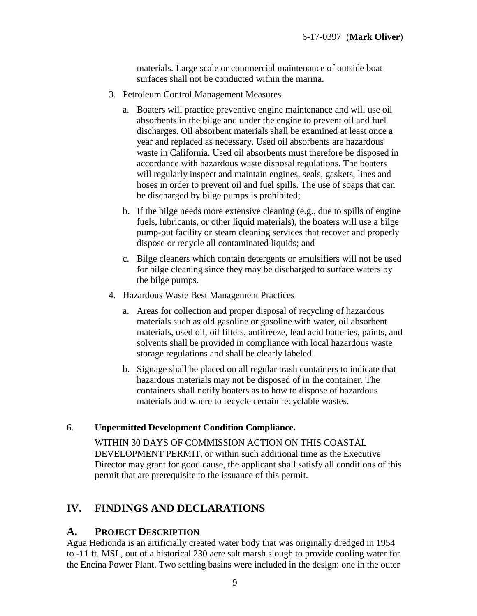materials. Large scale or commercial maintenance of outside boat surfaces shall not be conducted within the marina.

- 3. Petroleum Control Management Measures
	- a. Boaters will practice preventive engine maintenance and will use oil absorbents in the bilge and under the engine to prevent oil and fuel discharges. Oil absorbent materials shall be examined at least once a year and replaced as necessary. Used oil absorbents are hazardous waste in California. Used oil absorbents must therefore be disposed in accordance with hazardous waste disposal regulations. The boaters will regularly inspect and maintain engines, seals, gaskets, lines and hoses in order to prevent oil and fuel spills. The use of soaps that can be discharged by bilge pumps is prohibited;
	- b. If the bilge needs more extensive cleaning (e.g., due to spills of engine fuels, lubricants, or other liquid materials), the boaters will use a bilge pump-out facility or steam cleaning services that recover and properly dispose or recycle all contaminated liquids; and
	- c. Bilge cleaners which contain detergents or emulsifiers will not be used for bilge cleaning since they may be discharged to surface waters by the bilge pumps.
- 4. Hazardous Waste Best Management Practices
	- a. Areas for collection and proper disposal of recycling of hazardous materials such as old gasoline or gasoline with water, oil absorbent materials, used oil, oil filters, antifreeze, lead acid batteries, paints, and solvents shall be provided in compliance with local hazardous waste storage regulations and shall be clearly labeled.
	- b. Signage shall be placed on all regular trash containers to indicate that hazardous materials may not be disposed of in the container. The containers shall notify boaters as to how to dispose of hazardous materials and where to recycle certain recyclable wastes.

### 6. **Unpermitted Development Condition Compliance.**

WITHIN 30 DAYS OF COMMISSION ACTION ON THIS COASTAL DEVELOPMENT PERMIT, or within such additional time as the Executive Director may grant for good cause, the applicant shall satisfy all conditions of this permit that are prerequisite to the issuance of this permit.

### <span id="page-8-0"></span>**IV. FINDINGS AND DECLARATIONS**

### <span id="page-8-1"></span>**A. PROJECT DESCRIPTION**

Agua Hedionda is an artificially created water body that was originally dredged in 1954 to -11 ft. MSL, out of a historical 230 acre salt marsh slough to provide cooling water for the Encina Power Plant. Two settling basins were included in the design: one in the outer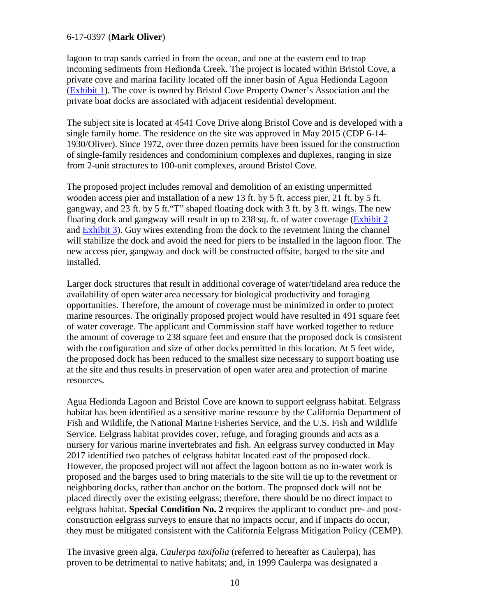lagoon to trap sands carried in from the ocean, and one at the eastern end to trap incoming sediments from Hedionda Creek. The project is located within Bristol Cove, a private cove and marina facility located off the inner basin of Agua Hedionda Lagoon [\(Exhibit 1\)](https://documents.coastal.ca.gov/reports/2018/8/W7a/W7a-8-2018-exhibits.pdf). The cove is owned by Bristol Cove Property Owner's Association and the private boat docks are associated with adjacent residential development.

The subject site is located at 4541 Cove Drive along Bristol Cove and is developed with a single family home. The residence on the site was approved in May 2015 (CDP 6-14- 1930/Oliver). Since 1972, over three dozen permits have been issued for the construction of single-family residences and condominium complexes and duplexes, ranging in size from 2-unit structures to 100-unit complexes, around Bristol Cove.

The proposed project includes removal and demolition of an existing unpermitted wooden access pier and installation of a new 13 ft. by 5 ft. access pier, 21 ft. by 5 ft. gangway, and 23 ft. by 5 ft."T" shaped floating dock with 3 ft. by 3 ft. wings. The new floating dock and gangway will result in up to 238 sq. ft. of water coverage [\(Exhibit 2](https://documents.coastal.ca.gov/reports/2018/8/W7a/W7a-8-2018-exhibits.pdf) and [Exhibit 3\)](https://documents.coastal.ca.gov/reports/2018/8/W7a/W7a-8-2018-exhibits.pdf). Guy wires extending from the dock to the revetment lining the channel will stabilize the dock and avoid the need for piers to be installed in the lagoon floor. The new access pier, gangway and dock will be constructed offsite, barged to the site and installed.

Larger dock structures that result in additional coverage of water/tideland area reduce the availability of open water area necessary for biological productivity and foraging opportunities. Therefore, the amount of coverage must be minimized in order to protect marine resources. The originally proposed project would have resulted in 491 square feet of water coverage. The applicant and Commission staff have worked together to reduce the amount of coverage to 238 square feet and ensure that the proposed dock is consistent with the configuration and size of other docks permitted in this location. At 5 feet wide, the proposed dock has been reduced to the smallest size necessary to support boating use at the site and thus results in preservation of open water area and protection of marine resources.

Agua Hedionda Lagoon and Bristol Cove are known to support eelgrass habitat. Eelgrass habitat has been identified as a sensitive marine resource by the California Department of Fish and Wildlife, the National Marine Fisheries Service, and the U.S. Fish and Wildlife Service. Eelgrass habitat provides cover, refuge, and foraging grounds and acts as a nursery for various marine invertebrates and fish. An eelgrass survey conducted in May 2017 identified two patches of eelgrass habitat located east of the proposed dock. However, the proposed project will not affect the lagoon bottom as no in-water work is proposed and the barges used to bring materials to the site will tie up to the revetment or neighboring docks, rather than anchor on the bottom. The proposed dock will not be placed directly over the existing eelgrass; therefore, there should be no direct impact to eelgrass habitat. **Special Condition No. 2** requires the applicant to conduct pre- and postconstruction eelgrass surveys to ensure that no impacts occur, and if impacts do occur, they must be mitigated consistent with the California Eelgrass Mitigation Policy (CEMP).

The invasive green alga, *Caulerpa taxifolia* (referred to hereafter as Caulerpa), has proven to be detrimental to native habitats; and, in 1999 Caulerpa was designated a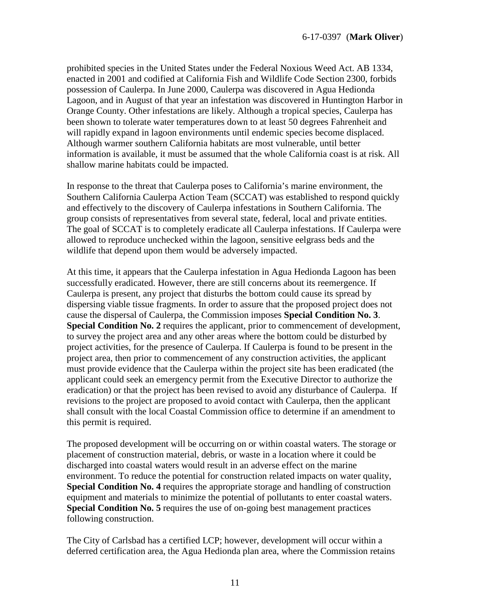prohibited species in the United States under the Federal Noxious Weed Act. AB 1334, enacted in 2001 and codified at California Fish and Wildlife Code Section 2300, forbids possession of Caulerpa. In June 2000, Caulerpa was discovered in Agua Hedionda Lagoon, and in August of that year an infestation was discovered in Huntington Harbor in Orange County. Other infestations are likely. Although a tropical species, Caulerpa has been shown to tolerate water temperatures down to at least 50 degrees Fahrenheit and will rapidly expand in lagoon environments until endemic species become displaced. Although warmer southern California habitats are most vulnerable, until better information is available, it must be assumed that the whole California coast is at risk. All shallow marine habitats could be impacted.

In response to the threat that Caulerpa poses to California's marine environment, the Southern California Caulerpa Action Team (SCCAT) was established to respond quickly and effectively to the discovery of Caulerpa infestations in Southern California. The group consists of representatives from several state, federal, local and private entities. The goal of SCCAT is to completely eradicate all Caulerpa infestations. If Caulerpa were allowed to reproduce unchecked within the lagoon, sensitive eelgrass beds and the wildlife that depend upon them would be adversely impacted.

At this time, it appears that the Caulerpa infestation in Agua Hedionda Lagoon has been successfully eradicated. However, there are still concerns about its reemergence. If Caulerpa is present, any project that disturbs the bottom could cause its spread by dispersing viable tissue fragments. In order to assure that the proposed project does not cause the dispersal of Caulerpa, the Commission imposes **Special Condition No. 3**. **Special Condition No. 2** requires the applicant, prior to commencement of development, to survey the project area and any other areas where the bottom could be disturbed by project activities, for the presence of Caulerpa. If Caulerpa is found to be present in the project area, then prior to commencement of any construction activities, the applicant must provide evidence that the Caulerpa within the project site has been eradicated (the applicant could seek an emergency permit from the Executive Director to authorize the eradication) or that the project has been revised to avoid any disturbance of Caulerpa. If revisions to the project are proposed to avoid contact with Caulerpa, then the applicant shall consult with the local Coastal Commission office to determine if an amendment to this permit is required.

The proposed development will be occurring on or within coastal waters. The storage or placement of construction material, debris, or waste in a location where it could be discharged into coastal waters would result in an adverse effect on the marine environment. To reduce the potential for construction related impacts on water quality, **Special Condition No. 4** requires the appropriate storage and handling of construction equipment and materials to minimize the potential of pollutants to enter coastal waters. **Special Condition No. 5** requires the use of on-going best management practices following construction.

The City of Carlsbad has a certified LCP; however, development will occur within a deferred certification area, the Agua Hedionda plan area, where the Commission retains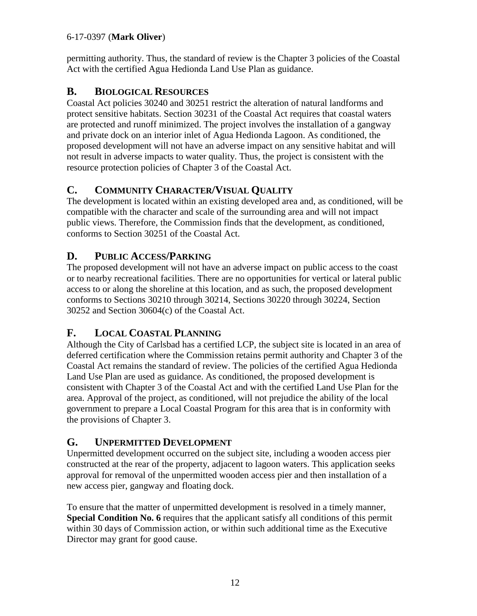permitting authority. Thus, the standard of review is the Chapter 3 policies of the Coastal Act with the certified Agua Hedionda Land Use Plan as guidance.

### <span id="page-11-0"></span>**B. BIOLOGICAL RESOURCES**

Coastal Act policies 30240 and 30251 restrict the alteration of natural landforms and protect sensitive habitats. Section 30231 of the Coastal Act requires that coastal waters are protected and runoff minimized. The project involves the installation of a gangway and private dock on an interior inlet of Agua Hedionda Lagoon. As conditioned, the proposed development will not have an adverse impact on any sensitive habitat and will not result in adverse impacts to water quality. Thus, the project is consistent with the resource protection policies of Chapter 3 of the Coastal Act.

## <span id="page-11-1"></span>**C. COMMUNITY CHARACTER/VISUAL QUALITY**

The development is located within an existing developed area and, as conditioned, will be compatible with the character and scale of the surrounding area and will not impact public views. Therefore, the Commission finds that the development, as conditioned, conforms to Section 30251 of the Coastal Act.

### <span id="page-11-2"></span>**D. PUBLIC ACCESS/PARKING**

The proposed development will not have an adverse impact on public access to the coast or to nearby recreational facilities. There are no opportunities for vertical or lateral public access to or along the shoreline at this location, and as such, the proposed development conforms to Sections 30210 through 30214, Sections 30220 through 30224, Section 30252 and Section 30604(c) of the Coastal Act.

### <span id="page-11-3"></span>**F. LOCAL COASTAL PLANNING**

Although the City of Carlsbad has a certified LCP, the subject site is located in an area of deferred certification where the Commission retains permit authority and Chapter 3 of the Coastal Act remains the standard of review. The policies of the certified Agua Hedionda Land Use Plan are used as guidance. As conditioned, the proposed development is consistent with Chapter 3 of the Coastal Act and with the certified Land Use Plan for the area. Approval of the project, as conditioned, will not prejudice the ability of the local government to prepare a Local Coastal Program for this area that is in conformity with the provisions of Chapter 3.

### <span id="page-11-4"></span>**G. UNPERMITTED DEVELOPMENT**

Unpermitted development occurred on the subject site, including a wooden access pier constructed at the rear of the property, adjacent to lagoon waters. This application seeks approval for removal of the unpermitted wooden access pier and then installation of a new access pier, gangway and floating dock.

To ensure that the matter of unpermitted development is resolved in a timely manner, **Special Condition No. 6** requires that the applicant satisfy all conditions of this permit within 30 days of Commission action, or within such additional time as the Executive Director may grant for good cause.